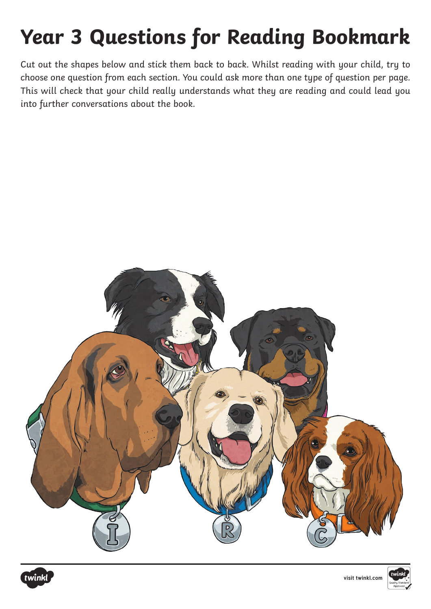# **Year 3 Questions for Reading Bookmark**

Cut out the shapes below and stick them back to back. Whilst reading with your child, try to choose one question from each section. You could ask more than one type of question per page. This will check that your child really understands what they are reading and could lead you into further conversations about the book.